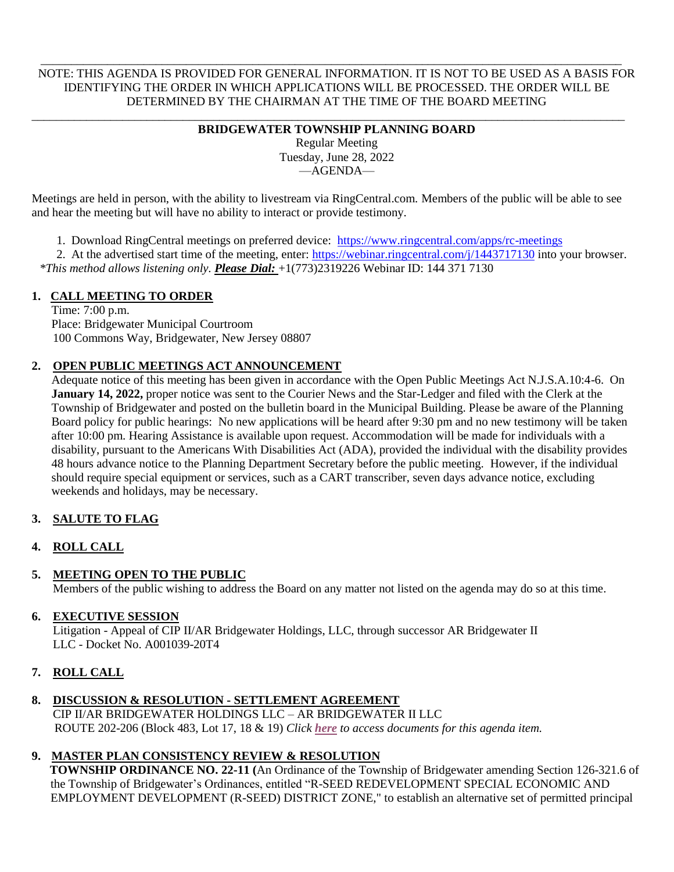NOTE: THIS AGENDA IS PROVIDED FOR GENERAL INFORMATION. IT IS NOT TO BE USED AS A BASIS FOR IDENTIFYING THE ORDER IN WHICH APPLICATIONS WILL BE PROCESSED. THE ORDER WILL BE DETERMINED BY THE CHAIRMAN AT THE TIME OF THE BOARD MEETING

 $\overline{\phantom{a}}$  , and the contribution of the contribution of the contribution of the contribution of the contribution of the contribution of the contribution of the contribution of the contribution of the contribution of the

#### \_\_\_\_\_\_\_\_\_\_\_\_\_\_\_\_\_\_\_\_\_\_\_\_\_\_\_\_\_\_\_\_\_\_\_\_\_\_\_\_\_\_\_\_\_\_\_\_\_\_\_\_\_\_\_\_\_\_\_\_\_\_\_\_\_\_\_\_\_\_\_\_\_\_\_\_\_\_\_\_\_\_\_\_\_\_\_\_\_\_\_\_\_\_\_\_\_\_ **BRIDGEWATER TOWNSHIP PLANNING BOARD**

Regular Meeting Tuesday, June 28, 2022 —AGENDA—

Meetings are held in person, with the ability to livestream via RingCentral.com. Members of the public will be able to see and hear the meeting but will have no ability to interact or provide testimony.

1. Download RingCentral meetings on preferred device: <https://www.ringcentral.com/apps/rc-meetings>

2. At the advertised start time of the meeting, enter:<https://webinar.ringcentral.com/j/1443717130> into your browser. *\*This method allows listening only. Please Dial:* +1(773)2319226 Webinar ID: 144 371 7130

## **1. CALL MEETING TO ORDER**

Time: 7:00 p.m. Place: Bridgewater Municipal Courtroom 100 Commons Way, Bridgewater, New Jersey 08807

## **2. OPEN PUBLIC MEETINGS ACT ANNOUNCEMENT**

Adequate notice of this meeting has been given in accordance with the Open Public Meetings Act N.J.S.A.10:4-6. On **January 14, 2022,** proper notice was sent to the Courier News and the Star-Ledger and filed with the Clerk at the Township of Bridgewater and posted on the bulletin board in the Municipal Building. Please be aware of the Planning Board policy for public hearings: No new applications will be heard after 9:30 pm and no new testimony will be taken after 10:00 pm. Hearing Assistance is available upon request. Accommodation will be made for individuals with a disability, pursuant to the Americans With Disabilities Act (ADA), provided the individual with the disability provides 48 hours advance notice to the Planning Department Secretary before the public meeting. However, if the individual should require special equipment or services, such as a CART transcriber, seven days advance notice, excluding weekends and holidays, may be necessary.

### **3. SALUTE TO FLAG**

### **4. ROLL CALL**

### **5. MEETING OPEN TO THE PUBLIC**

Members of the public wishing to address the Board on any matter not listed on the agenda may do so at this time.

### **6. EXECUTIVE SESSION**

Litigation - Appeal of CIP II/AR Bridgewater Holdings, LLC, through successor AR Bridgewater II LLC - Docket No. A001039-20T4

# **7. ROLL CALL**

# **8. DISCUSSION & RESOLUTION - SETTLEMENT AGREEMENT**

CIP II/AR BRIDGEWATER HOLDINGS LLC – AR BRIDGEWATER II LLC ROUTE 202-206 (Block 483, Lot 17, 18 & 19) *Click [here](https://drive.google.com/drive/folders/1pFvLal8C_ZyM8faSnIzOlbf5MHpS6Sql) to access documents for this agenda item.*

# **9. MASTER PLAN CONSISTENCY REVIEW & RESOLUTION**

 **TOWNSHIP ORDINANCE NO. 22-11 (**An Ordinance of the Township of Bridgewater amending Section 126-321.6 of the Township of Bridgewater's Ordinances, entitled "R-SEED REDEVELOPMENT SPECIAL ECONOMIC AND EMPLOYMENT DEVELOPMENT (R-SEED) DISTRICT ZONE," to establish an alternative set of permitted principal